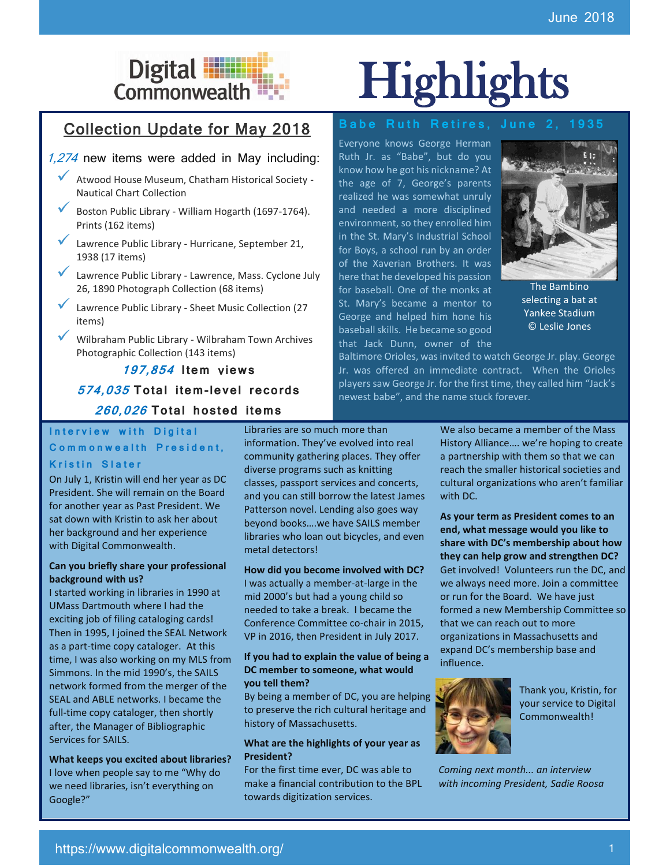# Collection Update for May 2018

#### 1,274 new items were added in May including:

- ✓ Atwood House Museum, Chatham Historical Society Nautical Chart Collection
- Boston Public Library William Hogarth (1697-1764). Prints (162 items)
- Lawrence Public Library Hurricane, September 21, 1938 (17 items)
- Lawrence Public Library Lawrence, Mass. Cyclone July 26, 1890 Photograph Collection (68 items)
- Lawrence Public Library Sheet Music Collection (27 items)
- ✓ Wilbraham Public Library Wilbraham Town Archives Photographic Collection (143 items)

## **197,854 I tem** v**iews 574,035 To tal i tem-level records 260,026 To tal hos ted i tems**

# Digital **Highlights**

#### **Babe Ruth Retires, June 2, 1935**

Everyone knows George Herman Ruth Jr. as "Babe", but do you know how he got his nickname? At the age of 7, George's parents realized he was somewhat unruly and needed a more disciplined environment, so they enrolled him in the St. Mary's Industrial School for Boys, a school run by an order of the Xaverian Brothers. It was here that he developed his passion for baseball. One of the monks at St. Mary's became a mentor to George and helped him hone his baseball skills. He became so good that Jack Dunn, owner of the



[The Bambino](https://ark.digitalcommonwealth.org/ark:/50959/b5645180v)  [selecting a bat at](https://ark.digitalcommonwealth.org/ark:/50959/b5645180v)  [Yankee Stadium](https://ark.digitalcommonwealth.org/ark:/50959/b5645180v) [© Leslie Jones](https://ark.digitalcommonwealth.org/ark:/50959/b5645180v)

Baltimore Orioles, was invited to watch George Jr. play. George Jr. was offered an immediate contract. When the Orioles players saw George Jr. for the first time, they called him "Jack's newest babe", and the name stuck forever.

**Interview with Digital** Commonwealth President,

### **Kristin Slater**

On July 1, Kristin will end her year as DC President. She will remain on the Board for another year as Past President. We sat down with Kristin to ask her about her background and her experience with Digital Commonwealth.

#### **Can you briefly share your professional background with us?**

I started working in libraries in 1990 at UMass Dartmouth where I had the exciting job of filing cataloging cards! Then in 1995, I joined the SEAL Network as a part-time copy cataloger. At this time, I was also working on my MLS from Simmons. In the mid 1990's, the SAILS network formed from the merger of the SEAL and ABLE networks. I became the full-time copy cataloger, then shortly after, the Manager of Bibliographic Services for SAILS.

**1. What keeps you excited about libraries?** I love when people say to me "Why do we need libraries, isn't everything on Google?"

Libraries are so much more than information. They've evolved into real community gathering places. They offer diverse programs such as knitting classes, passport services and concerts, and you can still borrow the latest James Patterson novel. Lending also goes way beyond books….we have SAILS member libraries who loan out bicycles, and even metal detectors!

**2. How did you become involved with DC?** I was actually a member-at-large in the mid 2000's but had a young child so needed to take a break. I became the Conference Committee co-chair in 2015, VP in 2016, then President in July 2017.

#### **3. If you had to explain the value of being a DC member to someone, what would you tell them?**

By being a member of DC, you are helping to preserve the rich cultural heritage and history of Massachusetts.

#### **What are the highlights of your year as President?**

For the first time ever, DC was able to make a financial contribution to the BPL towards digitization services.

**4.** We also became a member of the Mass History Alliance…. we're hoping to create a partnership with them so that we can reach the smaller historical societies and cultural organizations who aren't familiar with DC.

**6. As your term as President comes to an end, what message would you like to share with DC's membership about how they can help grow and strengthen DC?** Get involved! Volunteers run the DC, and we always need more. Join a committee or run for the Board. We have just formed a new Membership Committee so that we can reach out to more organizations in Massachusetts and expand DC's membership base and influence.



Thank you, Kristin, for your service to Digital Commonwealth!

*Coming next month... an interview with incoming President, Sadie Roosa*